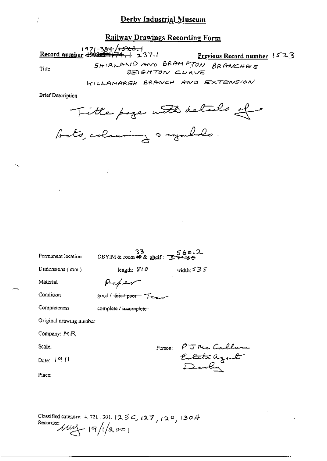Railway Drawings Recording Form

1971-384-4523.1<br>Record number 4993-31174.1 237.1

Title

Previous Record number  $1523$ SHIRLAND AND BRAMPTON BRANCHES

BEIGHTON CURVE

KILLAMARSH BRANCH AND EXTENSION

**Brief Description** 

Title page with details of

| Permanent location      | 33.<br>DBYIM & room # & shelf: TE #4. |         | 560.2                                 |
|-------------------------|---------------------------------------|---------|---------------------------------------|
| Dimensions $($ mm $)$   | length: $810$                         |         | width: $535$                          |
| Material                | fapen                                 |         |                                       |
| Condition               | $good / 4$ $free / 2000 - 72$         |         |                                       |
| Completeness            | complete / inc <del>omplete</del> ·   |         |                                       |
| Original drawing number |                                       |         |                                       |
| Company: $MR$           |                                       |         |                                       |
| Scale:                  |                                       | Person: |                                       |
| Date: $1911$            |                                       |         | PJNe Callun<br>Erlate agent<br>Dorley |
| Place:                  |                                       |         |                                       |
|                         |                                       |         |                                       |
|                         |                                       |         |                                       |

Classified category: 4, 721, 301,  $125\degree$ ,  $127$ ,  $129$ ,  $130\degree$ Recorder  $\mu$   $(9)/2001$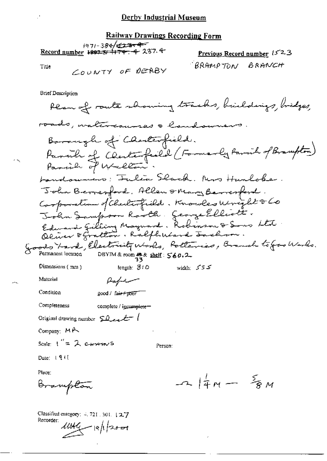#### Railway Drawings Recording Form

 $1971 - 384/12377$ Record number 1997 5/ 174, 4 237.4

Previous Record number 1523 "BRAMPTON BRANCH

Title

COUNTY OF DEABY

**Brief Description** Plan of route showing tracks, huildings, bridges, roads, watercourses & landowners Barangh of Charlesfield. Parish of Centerfield (Formerly Parish of Brampton)<br>Parish of Wellow. bandowners: Falia Slack. Mrs Hunlobe. John Bernesford, Allen onany Bernesford. Corporation of Checkerfield. Knowles Unight & Co<br>John Sampson Rooth. George Elliott.<br>Edward Gilling Maynard. Robinson & Sons Ltd. Goods X-aval, Electricity Works, Polteries, Branch to Good Works.<br>O Permanent location DBYIM&room # & shelf: 560.2 Dimensions (mm) length: SIO width:  $555$ Material Paper Condition 200d / fair+poor" Completeness complete / igcomplete-Original drawing number  $\Omega$  even  $\ell$ Company:  $M \rightarrow \infty$ Scale:  $1'' = 2$  corrent S Person: Date: 1911 Place:  $-2\frac{1}{4}M - \frac{5}{8}M$ Brampton

Classified category:  $4, 721, 301, 12.7$ Recorder:  $11149 - 19/120 - 1$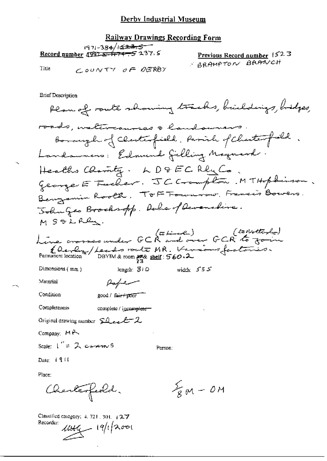#### **Railway Drawings Recording Form**

|       | 1971-384/1 <del>623.5</del>                             |                             |  |  |  |
|-------|---------------------------------------------------------|-----------------------------|--|--|--|
|       | <u>Record number</u> (1997- <del>5/ 1747-5</del> 237. S | Previous Record number 1523 |  |  |  |
| Title |                                                         | S BRAMPTON BRANCH           |  |  |  |
|       | COUNTY OF DERBY                                         |                             |  |  |  |

**Brief Description** 

Plan of route showing tracks, buildings, bidges, roads, waltercauses a landsurers borough of clerkesfield. Parish of Charterfield. Landswers: Edmund Gilling Maynard. Healths Charity. LD&ECRlyCo. George E Fucher. JC Crompton. MTHophinson. Benzamin Rooth, TOF Formorow, Francis Bowers. John Geo Brochsopp. Duke of Devensline. MSOLRey. (tothethold) (tothethold)<br>Line crosses under GCR and over GCR to form Charley / Leader route MR. Various factories.<br>Permanent location DBYTM& room #8 shell: 560.2 Dimensions  $(mn)$ length:  $310$ width:  $535$ Material Pagnem Condition good / fair+poor Completeness complete / igcomplete Original drawing number  $SL$  even  $2$ Company: MR Scale:  $\int_{0}^{\pi} = 2$  comparing S Person: Date:  $1911$ Place:  $\frac{2}{8}M - OM$ Charlesfeeld.

Classified category:  $4.721 \pm 301 \pm 2.7$ Recorder:  $1046 - 19/1200$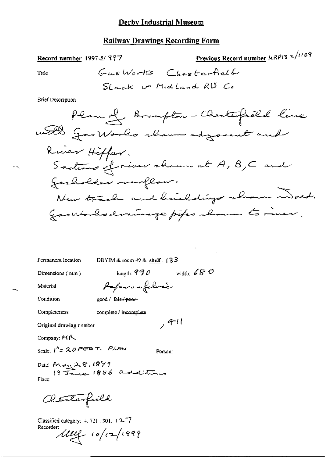## **Railway Drawings Recording Form**

Record number 1997-5/997  
\nTitle   
\n
$$
G_{\alpha,\delta}
$$
 Work  $Ches$  Herfield  
\nStack  $U_1$  Middle  
\nBremplot  $U_2$  Model and RIB Co  
\nBremplot  $Chend$  Line

Permanent location

DBYIM & room  $49$  & shelf.  $(33)$ 

Dimensions (mm)

length:  $990$  width:  $680$ Poper on folice

 $, 4 - 11$ 

Person:

Condition

Material

Title

**Brief Description** 

י∽י

good / fair / poor -

Completeness

complete / incomplete

Original drawing number

Company: MR

Scale:  $1^{A}$ = 20 FEBT. PLAN

Date: May 28, 1879<br>19 Janne 1886 additions Place:

acterfield

Classified category: 4, 721, 301, 42-7 Recorder:

 $\mu$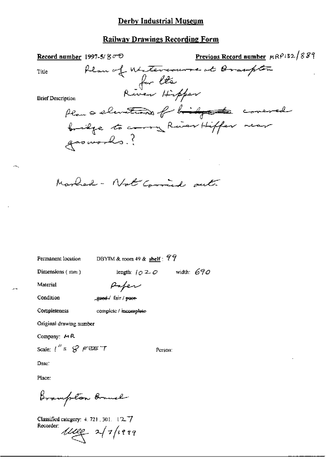# Railway Drawings Recording Form

| Record number 1997-5/ $8\sigma$          | Previous Record number MRP132/889 |
|------------------------------------------|-----------------------------------|
| Plan of Witercourse at Braupton<br>Title |                                   |
|                                          |                                   |
| for les<br>River Hipper                  |                                   |
| <b>Brief Description</b>                 |                                   |
| Plan a slintens of biggets covered       |                                   |
| bridge to corry Ruiser Hiffer near       |                                   |
|                                          |                                   |
| gasworks.?                               |                                   |
|                                          |                                   |

Marled - Not Commied out.

Permanent location

DBYIM & room 49 &  $\frac{\text{shell}}{5}$  = 79

Dimensions (mm)

length:  $\sqrt{020}$  width: 690

Person:

Material

Paper

Condition

good / fair / poor

complete / incomplete

Original drawing number

Company: MR

Completeness

Scale:  $t'' = \mathcal{G}$   $\in$   $\mathbb{E}$   $\in$   $\top$ 

Date:

Place:

Brampton Branch

Classified category: 4, 721, 301, 127 Recorder:  $u_{\ell} = 2/7/1999$